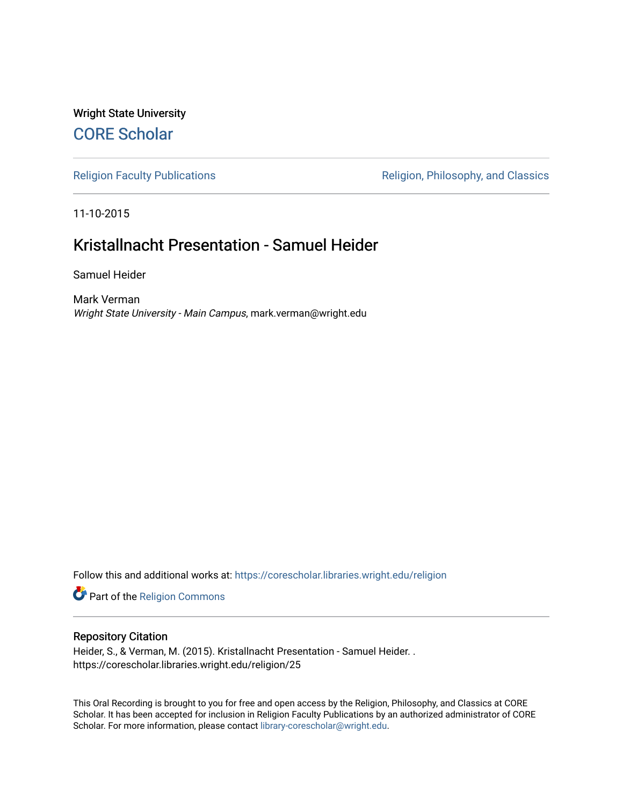Wright State University [CORE Scholar](https://corescholar.libraries.wright.edu/)

[Religion Faculty Publications](https://corescholar.libraries.wright.edu/religion) **Religion, Philosophy, and Classics** Religion, Philosophy, and Classics

11-10-2015

## Kristallnacht Presentation - Samuel Heider

Samuel Heider

Mark Verman Wright State University - Main Campus, mark.verman@wright.edu

Follow this and additional works at: [https://corescholar.libraries.wright.edu/religion](https://corescholar.libraries.wright.edu/religion?utm_source=corescholar.libraries.wright.edu%2Freligion%2F25&utm_medium=PDF&utm_campaign=PDFCoverPages)

Part of the [Religion Commons](http://network.bepress.com/hgg/discipline/538?utm_source=corescholar.libraries.wright.edu%2Freligion%2F25&utm_medium=PDF&utm_campaign=PDFCoverPages)

### Repository Citation

Heider, S., & Verman, M. (2015). Kristallnacht Presentation - Samuel Heider. . https://corescholar.libraries.wright.edu/religion/25

This Oral Recording is brought to you for free and open access by the Religion, Philosophy, and Classics at CORE Scholar. It has been accepted for inclusion in Religion Faculty Publications by an authorized administrator of CORE Scholar. For more information, please contact [library-corescholar@wright.edu](mailto:library-corescholar@wright.edu).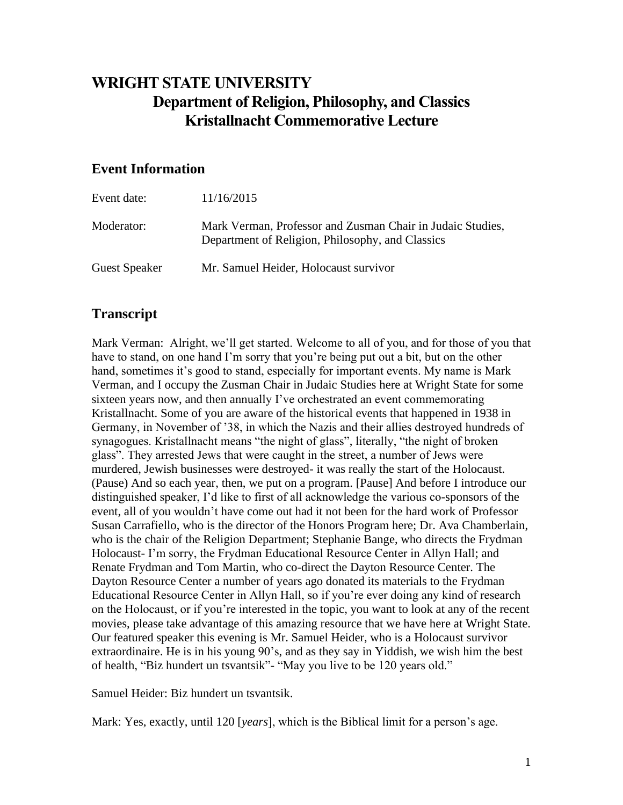# **WRIGHT STATE UNIVERSITY Department of Religion, Philosophy, and Classics Kristallnacht Commemorative Lecture**

### **Event Information**

| Event date:          | 11/16/2015                                                                                                     |
|----------------------|----------------------------------------------------------------------------------------------------------------|
| Moderator:           | Mark Verman, Professor and Zusman Chair in Judaic Studies,<br>Department of Religion, Philosophy, and Classics |
| <b>Guest Speaker</b> | Mr. Samuel Heider, Holocaust survivor                                                                          |

### **Transcript**

Mark Verman: Alright, we'll get started. Welcome to all of you, and for those of you that have to stand, on one hand I'm sorry that you're being put out a bit, but on the other hand, sometimes it's good to stand, especially for important events. My name is Mark Verman, and I occupy the Zusman Chair in Judaic Studies here at Wright State for some sixteen years now, and then annually I've orchestrated an event commemorating Kristallnacht. Some of you are aware of the historical events that happened in 1938 in Germany, in November of '38, in which the Nazis and their allies destroyed hundreds of synagogues. Kristallnacht means "the night of glass", literally, "the night of broken glass". They arrested Jews that were caught in the street, a number of Jews were murdered, Jewish businesses were destroyed- it was really the start of the Holocaust. (Pause) And so each year, then, we put on a program. [Pause] And before I introduce our distinguished speaker, I'd like to first of all acknowledge the various co-sponsors of the event, all of you wouldn't have come out had it not been for the hard work of Professor Susan Carrafiello, who is the director of the Honors Program here; Dr. Ava Chamberlain, who is the chair of the Religion Department; Stephanie Bange, who directs the Frydman Holocaust- I'm sorry, the Frydman Educational Resource Center in Allyn Hall; and Renate Frydman and Tom Martin, who co-direct the Dayton Resource Center. The Dayton Resource Center a number of years ago donated its materials to the Frydman Educational Resource Center in Allyn Hall, so if you're ever doing any kind of research on the Holocaust, or if you're interested in the topic, you want to look at any of the recent movies, please take advantage of this amazing resource that we have here at Wright State. Our featured speaker this evening is Mr. Samuel Heider, who is a Holocaust survivor extraordinaire. He is in his young 90's, and as they say in Yiddish, we wish him the best of health, "Biz hundert un tsvantsik"- "May you live to be 120 years old."

Samuel Heider: Biz hundert un tsvantsik.

Mark: Yes, exactly, until 120 [*years*], which is the Biblical limit for a person's age.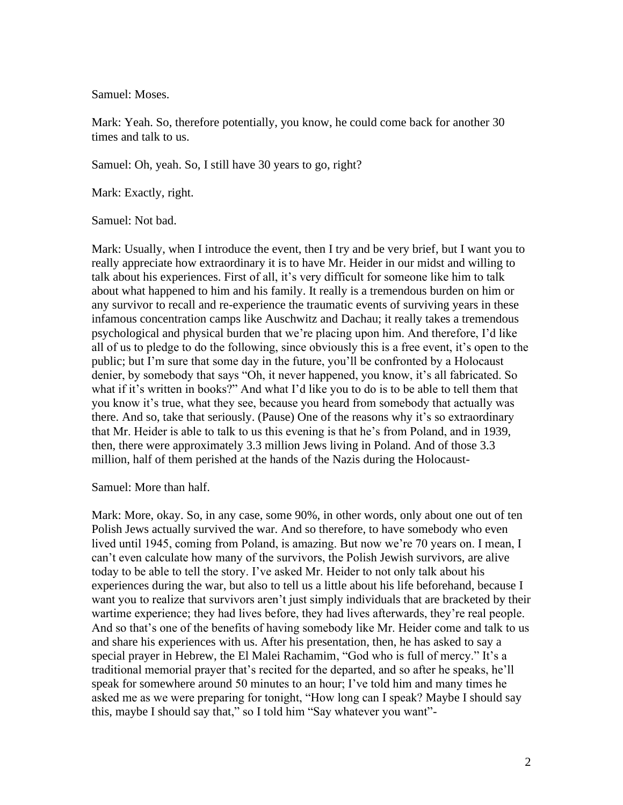Samuel: Moses.

Mark: Yeah. So, therefore potentially, you know, he could come back for another 30 times and talk to us.

Samuel: Oh, yeah. So, I still have 30 years to go, right?

Mark: Exactly, right.

Samuel: Not bad.

Mark: Usually, when I introduce the event, then I try and be very brief, but I want you to really appreciate how extraordinary it is to have Mr. Heider in our midst and willing to talk about his experiences. First of all, it's very difficult for someone like him to talk about what happened to him and his family. It really is a tremendous burden on him or any survivor to recall and re-experience the traumatic events of surviving years in these infamous concentration camps like Auschwitz and Dachau; it really takes a tremendous psychological and physical burden that we're placing upon him. And therefore, I'd like all of us to pledge to do the following, since obviously this is a free event, it's open to the public; but I'm sure that some day in the future, you'll be confronted by a Holocaust denier, by somebody that says "Oh, it never happened, you know, it's all fabricated. So what if it's written in books?" And what I'd like you to do is to be able to tell them that you know it's true, what they see, because you heard from somebody that actually was there. And so, take that seriously. (Pause) One of the reasons why it's so extraordinary that Mr. Heider is able to talk to us this evening is that he's from Poland, and in 1939, then, there were approximately 3.3 million Jews living in Poland. And of those 3.3 million, half of them perished at the hands of the Nazis during the Holocaust-

Samuel: More than half.

Mark: More, okay. So, in any case, some 90%, in other words, only about one out of ten Polish Jews actually survived the war. And so therefore, to have somebody who even lived until 1945, coming from Poland, is amazing. But now we're 70 years on. I mean, I can't even calculate how many of the survivors, the Polish Jewish survivors, are alive today to be able to tell the story. I've asked Mr. Heider to not only talk about his experiences during the war, but also to tell us a little about his life beforehand, because I want you to realize that survivors aren't just simply individuals that are bracketed by their wartime experience; they had lives before, they had lives afterwards, they're real people. And so that's one of the benefits of having somebody like Mr. Heider come and talk to us and share his experiences with us. After his presentation, then, he has asked to say a special prayer in Hebrew, the El Malei Rachamim, "God who is full of mercy." It's a traditional memorial prayer that's recited for the departed, and so after he speaks, he'll speak for somewhere around 50 minutes to an hour; I've told him and many times he asked me as we were preparing for tonight, "How long can I speak? Maybe I should say this, maybe I should say that," so I told him "Say whatever you want"-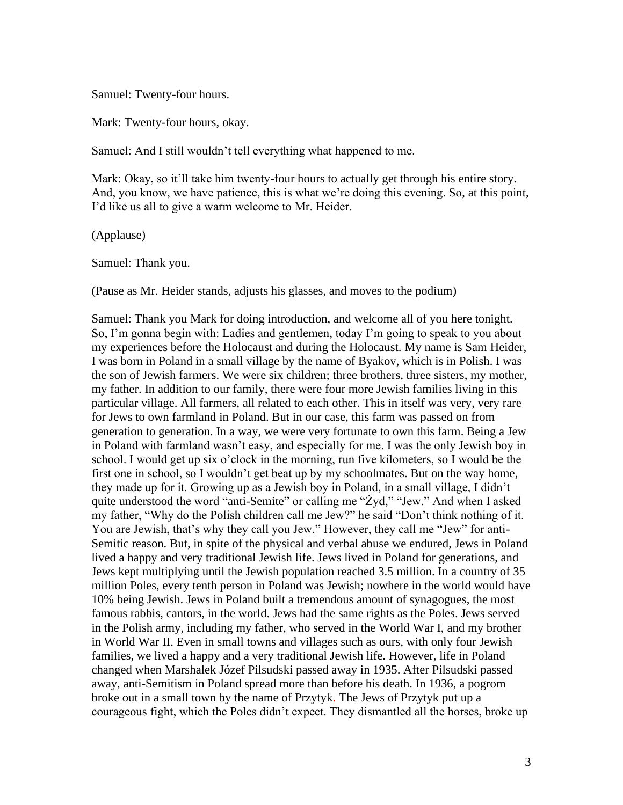Samuel: Twenty-four hours.

Mark: Twenty-four hours, okay.

Samuel: And I still wouldn't tell everything what happened to me.

Mark: Okay, so it'll take him twenty-four hours to actually get through his entire story. And, you know, we have patience, this is what we're doing this evening. So, at this point, I'd like us all to give a warm welcome to Mr. Heider.

(Applause)

Samuel: Thank you.

(Pause as Mr. Heider stands, adjusts his glasses, and moves to the podium)

Samuel: Thank you Mark for doing introduction, and welcome all of you here tonight. So, I'm gonna begin with: Ladies and gentlemen, today I'm going to speak to you about my experiences before the Holocaust and during the Holocaust. My name is Sam Heider, I was born in Poland in a small village by the name of Byakov, which is in Polish. I was the son of Jewish farmers. We were six children; three brothers, three sisters, my mother, my father. In addition to our family, there were four more Jewish families living in this particular village. All farmers, all related to each other. This in itself was very, very rare for Jews to own farmland in Poland. But in our case, this farm was passed on from generation to generation. In a way, we were very fortunate to own this farm. Being a Jew in Poland with farmland wasn't easy, and especially for me. I was the only Jewish boy in school. I would get up six o'clock in the morning, run five kilometers, so I would be the first one in school, so I wouldn't get beat up by my schoolmates. But on the way home, they made up for it. Growing up as a Jewish boy in Poland, in a small village, I didn't quite understood the word "anti-Semite" or calling me "Żyd," "Jew." And when I asked my father, "Why do the Polish children call me Jew?" he said "Don't think nothing of it. You are Jewish, that's why they call you Jew." However, they call me "Jew" for anti-Semitic reason. But, in spite of the physical and verbal abuse we endured, Jews in Poland lived a happy and very traditional Jewish life. Jews lived in Poland for generations, and Jews kept multiplying until the Jewish population reached 3.5 million. In a country of 35 million Poles, every tenth person in Poland was Jewish; nowhere in the world would have 10% being Jewish. Jews in Poland built a tremendous amount of synagogues, the most famous rabbis, cantors, in the world. Jews had the same rights as the Poles. Jews served in the Polish army, including my father, who served in the World War I, and my brother in World War II. Even in small towns and villages such as ours, with only four Jewish families, we lived a happy and a very traditional Jewish life. However, life in Poland changed when Marshalek Józef Pilsudski passed away in 1935. After Pilsudski passed away, anti-Semitism in Poland spread more than before his death. In 1936, a pogrom broke out in a small town by the name of Przytyk. The Jews of Przytyk put up a courageous fight, which the Poles didn't expect. They dismantled all the horses, broke up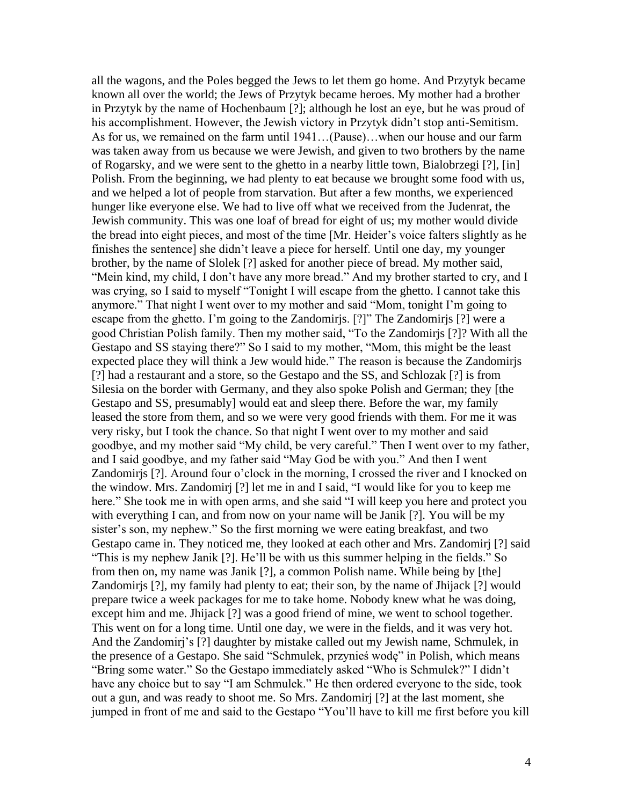all the wagons, and the Poles begged the Jews to let them go home. And Przytyk became known all over the world; the Jews of Przytyk became heroes. My mother had a brother in Przytyk by the name of Hochenbaum [?]; although he lost an eye, but he was proud of his accomplishment. However, the Jewish victory in Przytyk didn't stop anti-Semitism. As for us, we remained on the farm until 1941…(Pause)…when our house and our farm was taken away from us because we were Jewish, and given to two brothers by the name of Rogarsky, and we were sent to the ghetto in a nearby little town, Bialobrzegi [?], [in] Polish. From the beginning, we had plenty to eat because we brought some food with us, and we helped a lot of people from starvation. But after a few months, we experienced hunger like everyone else. We had to live off what we received from the Judenrat, the Jewish community. This was one loaf of bread for eight of us; my mother would divide the bread into eight pieces, and most of the time [Mr. Heider's voice falters slightly as he finishes the sentence] she didn't leave a piece for herself. Until one day, my younger brother, by the name of Slolek [?] asked for another piece of bread. My mother said, "Mein kind, my child, I don't have any more bread." And my brother started to cry, and I was crying, so I said to myself "Tonight I will escape from the ghetto. I cannot take this anymore." That night I went over to my mother and said "Mom, tonight I'm going to escape from the ghetto. I'm going to the Zandomirjs. [?]" The Zandomirjs [?] were a good Christian Polish family. Then my mother said, "To the Zandomirjs [?]? With all the Gestapo and SS staying there?" So I said to my mother, "Mom, this might be the least expected place they will think a Jew would hide." The reason is because the Zandomirjs [?] had a restaurant and a store, so the Gestapo and the SS, and Schlozak [?] is from Silesia on the border with Germany, and they also spoke Polish and German; they [the Gestapo and SS, presumably] would eat and sleep there. Before the war, my family leased the store from them, and so we were very good friends with them. For me it was very risky, but I took the chance. So that night I went over to my mother and said goodbye, and my mother said "My child, be very careful." Then I went over to my father, and I said goodbye, and my father said "May God be with you." And then I went Zandomirjs [?]. Around four o'clock in the morning, I crossed the river and I knocked on the window. Mrs. Zandomirj [?] let me in and I said, "I would like for you to keep me here." She took me in with open arms, and she said "I will keep you here and protect you with everything I can, and from now on your name will be Janik [?]. You will be my sister's son, my nephew." So the first morning we were eating breakfast, and two Gestapo came in. They noticed me, they looked at each other and Mrs. Zandomirj [?] said "This is my nephew Janik [?]. He'll be with us this summer helping in the fields." So from then on, my name was Janik [?], a common Polish name. While being by [the] Zandomirjs [?], my family had plenty to eat; their son, by the name of Jhijack [?] would prepare twice a week packages for me to take home. Nobody knew what he was doing, except him and me. Jhijack [?] was a good friend of mine, we went to school together. This went on for a long time. Until one day, we were in the fields, and it was very hot. And the Zandomirj's [?] daughter by mistake called out my Jewish name, Schmulek, in the presence of a Gestapo. She said "Schmulek, przynieś wodę" in Polish, which means "Bring some water." So the Gestapo immediately asked "Who is Schmulek?" I didn't have any choice but to say "I am Schmulek." He then ordered everyone to the side, took out a gun, and was ready to shoot me. So Mrs. Zandomirj [?] at the last moment, she jumped in front of me and said to the Gestapo "You'll have to kill me first before you kill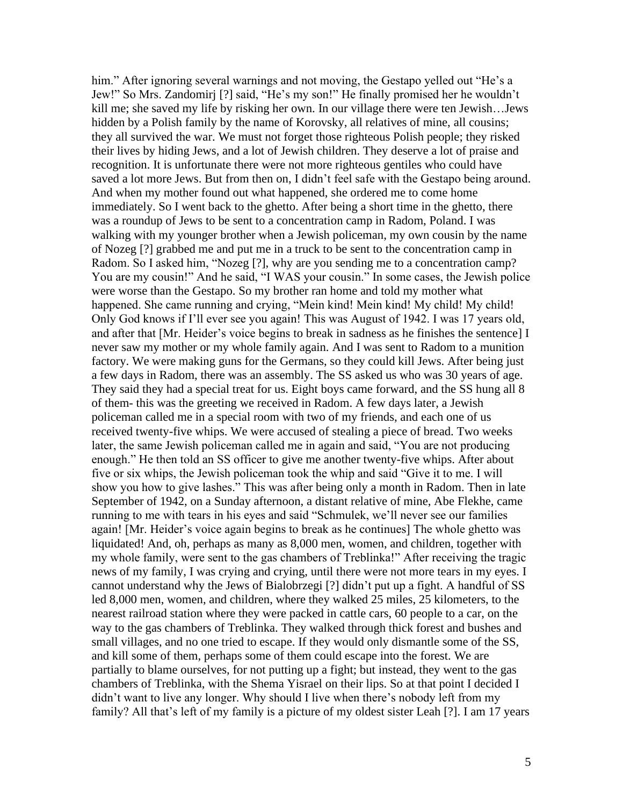him." After ignoring several warnings and not moving, the Gestapo yelled out "He's a Jew!" So Mrs. Zandomirj [?] said, "He's my son!" He finally promised her he wouldn't kill me; she saved my life by risking her own. In our village there were ten Jewish…Jews hidden by a Polish family by the name of Korovsky, all relatives of mine, all cousins; they all survived the war. We must not forget those righteous Polish people; they risked their lives by hiding Jews, and a lot of Jewish children. They deserve a lot of praise and recognition. It is unfortunate there were not more righteous gentiles who could have saved a lot more Jews. But from then on, I didn't feel safe with the Gestapo being around. And when my mother found out what happened, she ordered me to come home immediately. So I went back to the ghetto. After being a short time in the ghetto, there was a roundup of Jews to be sent to a concentration camp in Radom, Poland. I was walking with my younger brother when a Jewish policeman, my own cousin by the name of Nozeg [?] grabbed me and put me in a truck to be sent to the concentration camp in Radom. So I asked him, "Nozeg [?], why are you sending me to a concentration camp? You are my cousin!" And he said, "I WAS your cousin." In some cases, the Jewish police were worse than the Gestapo. So my brother ran home and told my mother what happened. She came running and crying, "Mein kind! Mein kind! My child! My child! Only God knows if I'll ever see you again! This was August of 1942. I was 17 years old, and after that [Mr. Heider's voice begins to break in sadness as he finishes the sentence] I never saw my mother or my whole family again. And I was sent to Radom to a munition factory. We were making guns for the Germans, so they could kill Jews. After being just a few days in Radom, there was an assembly. The SS asked us who was 30 years of age. They said they had a special treat for us. Eight boys came forward, and the SS hung all 8 of them- this was the greeting we received in Radom. A few days later, a Jewish policeman called me in a special room with two of my friends, and each one of us received twenty-five whips. We were accused of stealing a piece of bread. Two weeks later, the same Jewish policeman called me in again and said, "You are not producing enough." He then told an SS officer to give me another twenty-five whips. After about five or six whips, the Jewish policeman took the whip and said "Give it to me. I will show you how to give lashes." This was after being only a month in Radom. Then in late September of 1942, on a Sunday afternoon, a distant relative of mine, Abe Flekhe, came running to me with tears in his eyes and said "Schmulek, we'll never see our families again! [Mr. Heider's voice again begins to break as he continues] The whole ghetto was liquidated! And, oh, perhaps as many as 8,000 men, women, and children, together with my whole family, were sent to the gas chambers of Treblinka!" After receiving the tragic news of my family, I was crying and crying, until there were not more tears in my eyes. I cannot understand why the Jews of Bialobrzegi [?] didn't put up a fight. A handful of SS led 8,000 men, women, and children, where they walked 25 miles, 25 kilometers, to the nearest railroad station where they were packed in cattle cars, 60 people to a car, on the way to the gas chambers of Treblinka. They walked through thick forest and bushes and small villages, and no one tried to escape. If they would only dismantle some of the SS, and kill some of them, perhaps some of them could escape into the forest. We are partially to blame ourselves, for not putting up a fight; but instead, they went to the gas chambers of Treblinka, with the Shema Yisrael on their lips. So at that point I decided I didn't want to live any longer. Why should I live when there's nobody left from my family? All that's left of my family is a picture of my oldest sister Leah [?]. I am 17 years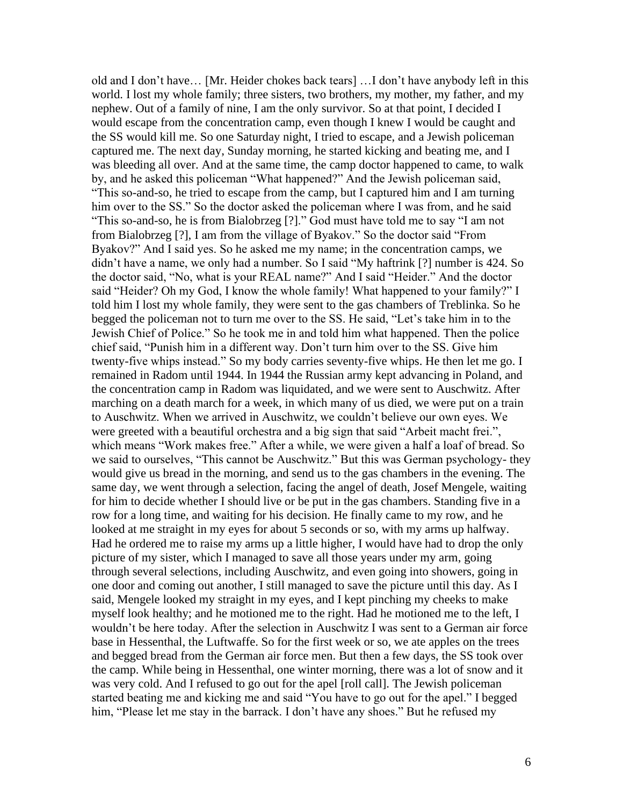old and I don't have… [Mr. Heider chokes back tears] …I don't have anybody left in this world. I lost my whole family; three sisters, two brothers, my mother, my father, and my nephew. Out of a family of nine, I am the only survivor. So at that point, I decided I would escape from the concentration camp, even though I knew I would be caught and the SS would kill me. So one Saturday night, I tried to escape, and a Jewish policeman captured me. The next day, Sunday morning, he started kicking and beating me, and I was bleeding all over. And at the same time, the camp doctor happened to came, to walk by, and he asked this policeman "What happened?" And the Jewish policeman said, "This so-and-so, he tried to escape from the camp, but I captured him and I am turning him over to the SS." So the doctor asked the policeman where I was from, and he said "This so-and-so, he is from Bialobrzeg [?]." God must have told me to say "I am not from Bialobrzeg [?], I am from the village of Byakov." So the doctor said "From Byakov?" And I said yes. So he asked me my name; in the concentration camps, we didn't have a name, we only had a number. So I said "My haftrink [?] number is 424. So the doctor said, "No, what is your REAL name?" And I said "Heider." And the doctor said "Heider? Oh my God, I know the whole family! What happened to your family?" I told him I lost my whole family, they were sent to the gas chambers of Treblinka. So he begged the policeman not to turn me over to the SS. He said, "Let's take him in to the Jewish Chief of Police." So he took me in and told him what happened. Then the police chief said, "Punish him in a different way. Don't turn him over to the SS. Give him twenty-five whips instead." So my body carries seventy-five whips. He then let me go. I remained in Radom until 1944. In 1944 the Russian army kept advancing in Poland, and the concentration camp in Radom was liquidated, and we were sent to Auschwitz. After marching on a death march for a week, in which many of us died, we were put on a train to Auschwitz. When we arrived in Auschwitz, we couldn't believe our own eyes. We were greeted with a beautiful orchestra and a big sign that said "Arbeit macht frei.", which means "Work makes free." After a while, we were given a half a loaf of bread. So we said to ourselves, "This cannot be Auschwitz." But this was German psychology- they would give us bread in the morning, and send us to the gas chambers in the evening. The same day, we went through a selection, facing the angel of death, Josef Mengele, waiting for him to decide whether I should live or be put in the gas chambers. Standing five in a row for a long time, and waiting for his decision. He finally came to my row, and he looked at me straight in my eyes for about 5 seconds or so, with my arms up halfway. Had he ordered me to raise my arms up a little higher, I would have had to drop the only picture of my sister, which I managed to save all those years under my arm, going through several selections, including Auschwitz, and even going into showers, going in one door and coming out another, I still managed to save the picture until this day. As I said, Mengele looked my straight in my eyes, and I kept pinching my cheeks to make myself look healthy; and he motioned me to the right. Had he motioned me to the left, I wouldn't be here today. After the selection in Auschwitz I was sent to a German air force base in Hessenthal, the Luftwaffe. So for the first week or so, we ate apples on the trees and begged bread from the German air force men. But then a few days, the SS took over the camp. While being in Hessenthal, one winter morning, there was a lot of snow and it was very cold. And I refused to go out for the apel [roll call]. The Jewish policeman started beating me and kicking me and said "You have to go out for the apel." I begged him, "Please let me stay in the barrack. I don't have any shoes." But he refused my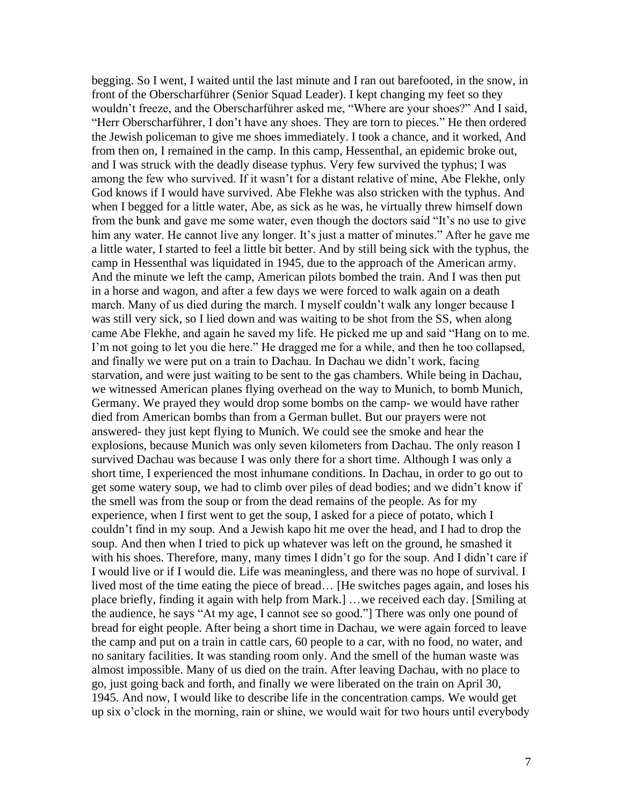begging. So I went, I waited until the last minute and I ran out barefooted, in the snow, in front of the Oberscharführer (Senior Squad Leader). I kept changing my feet so they wouldn't freeze, and the Oberscharführer asked me, "Where are your shoes?" And I said, "Herr Oberscharführer, I don't have any shoes. They are torn to pieces." He then ordered the Jewish policeman to give me shoes immediately. I took a chance, and it worked, And from then on, I remained in the camp. In this camp, Hessenthal, an epidemic broke out, and I was struck with the deadly disease typhus. Very few survived the typhus; I was among the few who survived. If it wasn't for a distant relative of mine, Abe Flekhe, only God knows if I would have survived. Abe Flekhe was also stricken with the typhus. And when I begged for a little water, Abe, as sick as he was, he virtually threw himself down from the bunk and gave me some water, even though the doctors said "It's no use to give him any water. He cannot live any longer. It's just a matter of minutes." After he gave me a little water, I started to feel a little bit better. And by still being sick with the typhus, the camp in Hessenthal was liquidated in 1945, due to the approach of the American army. And the minute we left the camp, American pilots bombed the train. And I was then put in a horse and wagon, and after a few days we were forced to walk again on a death march. Many of us died during the march. I myself couldn't walk any longer because I was still very sick, so I lied down and was waiting to be shot from the SS, when along came Abe Flekhe, and again he saved my life. He picked me up and said "Hang on to me. I'm not going to let you die here." He dragged me for a while, and then he too collapsed, and finally we were put on a train to Dachau. In Dachau we didn't work, facing starvation, and were just waiting to be sent to the gas chambers. While being in Dachau, we witnessed American planes flying overhead on the way to Munich, to bomb Munich, Germany. We prayed they would drop some bombs on the camp- we would have rather died from American bombs than from a German bullet. But our prayers were not answered- they just kept flying to Munich. We could see the smoke and hear the explosions, because Munich was only seven kilometers from Dachau. The only reason I survived Dachau was because I was only there for a short time. Although I was only a short time, I experienced the most inhumane conditions. In Dachau, in order to go out to get some watery soup, we had to climb over piles of dead bodies; and we didn't know if the smell was from the soup or from the dead remains of the people. As for my experience, when I first went to get the soup, I asked for a piece of potato, which I couldn't find in my soup. And a Jewish kapo hit me over the head, and I had to drop the soup. And then when I tried to pick up whatever was left on the ground, he smashed it with his shoes. Therefore, many, many times I didn't go for the soup. And I didn't care if I would live or if I would die. Life was meaningless, and there was no hope of survival. I lived most of the time eating the piece of bread… [He switches pages again, and loses his place briefly, finding it again with help from Mark.] …we received each day. [Smiling at the audience, he says "At my age, I cannot see so good."] There was only one pound of bread for eight people. After being a short time in Dachau, we were again forced to leave the camp and put on a train in cattle cars, 60 people to a car, with no food, no water, and no sanitary facilities. It was standing room only. And the smell of the human waste was almost impossible. Many of us died on the train. After leaving Dachau, with no place to go, just going back and forth, and finally we were liberated on the train on April 30, 1945. And now, I would like to describe life in the concentration camps. We would get up six o'clock in the morning, rain or shine, we would wait for two hours until everybody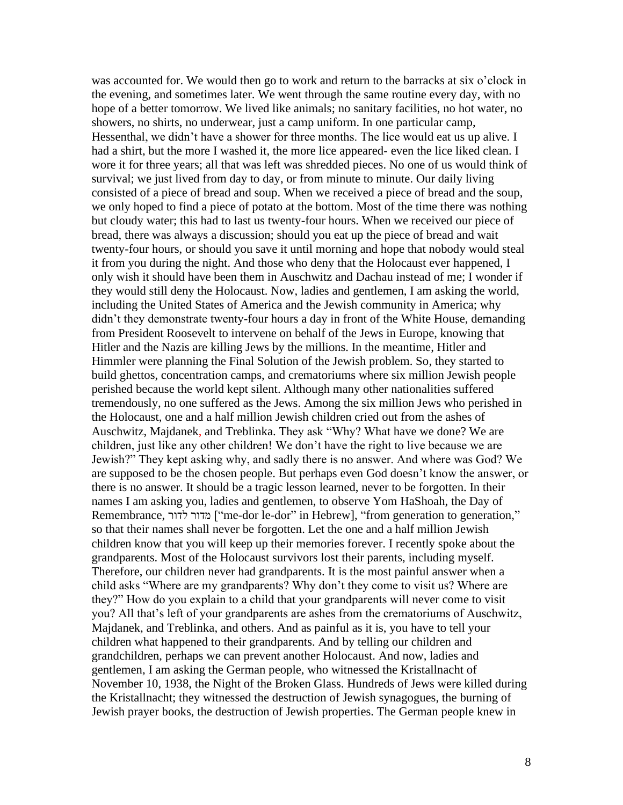was accounted for. We would then go to work and return to the barracks at six o'clock in the evening, and sometimes later. We went through the same routine every day, with no hope of a better tomorrow. We lived like animals; no sanitary facilities, no hot water, no showers, no shirts, no underwear, just a camp uniform. In one particular camp, Hessenthal, we didn't have a shower for three months. The lice would eat us up alive. I had a shirt, but the more I washed it, the more lice appeared- even the lice liked clean. I wore it for three years; all that was left was shredded pieces. No one of us would think of survival; we just lived from day to day, or from minute to minute. Our daily living consisted of a piece of bread and soup. When we received a piece of bread and the soup, we only hoped to find a piece of potato at the bottom. Most of the time there was nothing but cloudy water; this had to last us twenty-four hours. When we received our piece of bread, there was always a discussion; should you eat up the piece of bread and wait twenty-four hours, or should you save it until morning and hope that nobody would steal it from you during the night. And those who deny that the Holocaust ever happened, I only wish it should have been them in Auschwitz and Dachau instead of me; I wonder if they would still deny the Holocaust. Now, ladies and gentlemen, I am asking the world, including the United States of America and the Jewish community in America; why didn't they demonstrate twenty-four hours a day in front of the White House, demanding from President Roosevelt to intervene on behalf of the Jews in Europe, knowing that Hitler and the Nazis are killing Jews by the millions. In the meantime, Hitler and Himmler were planning the Final Solution of the Jewish problem. So, they started to build ghettos, concentration camps, and crematoriums where six million Jewish people perished because the world kept silent. Although many other nationalities suffered tremendously, no one suffered as the Jews. Among the six million Jews who perished in the Holocaust, one and a half million Jewish children cried out from the ashes of Auschwitz, Majdanek, and Treblinka. They ask "Why? What have we done? We are children, just like any other children! We don't have the right to live because we are Jewish?" They kept asking why, and sadly there is no answer. And where was God? We are supposed to be the chosen people. But perhaps even God doesn't know the answer, or there is no answer. It should be a tragic lesson learned, never to be forgotten. In their names I am asking you, ladies and gentlemen, to observe Yom HaShoah, the Day of Remembrance, לדור מדור"] me-dor le-dor" in Hebrew], "from generation to generation," so that their names shall never be forgotten. Let the one and a half million Jewish children know that you will keep up their memories forever. I recently spoke about the grandparents. Most of the Holocaust survivors lost their parents, including myself. Therefore, our children never had grandparents. It is the most painful answer when a child asks "Where are my grandparents? Why don't they come to visit us? Where are they?" How do you explain to a child that your grandparents will never come to visit you? All that's left of your grandparents are ashes from the crematoriums of Auschwitz, Majdanek, and Treblinka, and others. And as painful as it is, you have to tell your children what happened to their grandparents. And by telling our children and grandchildren, perhaps we can prevent another Holocaust. And now, ladies and gentlemen, I am asking the German people, who witnessed the Kristallnacht of November 10, 1938, the Night of the Broken Glass. Hundreds of Jews were killed during the Kristallnacht; they witnessed the destruction of Jewish synagogues, the burning of Jewish prayer books, the destruction of Jewish properties. The German people knew in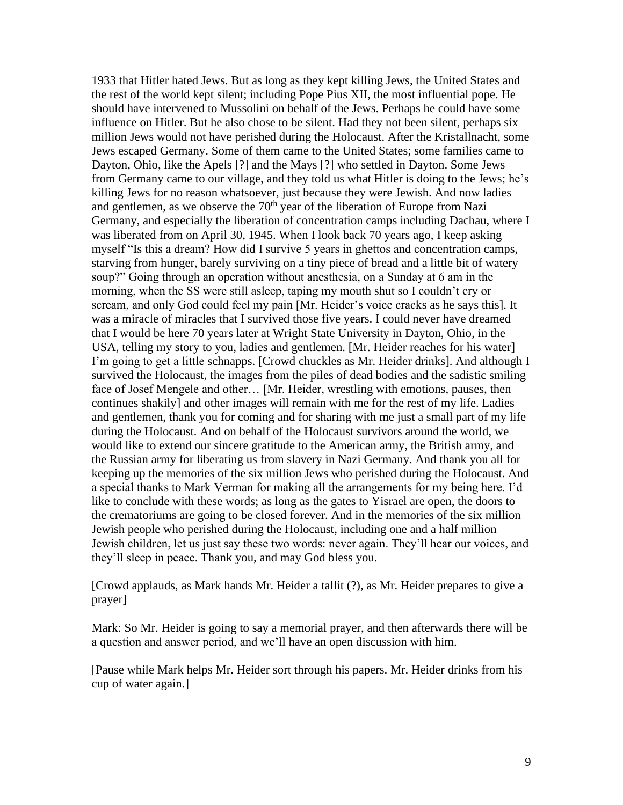1933 that Hitler hated Jews. But as long as they kept killing Jews, the United States and the rest of the world kept silent; including Pope Pius XII, the most influential pope. He should have intervened to Mussolini on behalf of the Jews. Perhaps he could have some influence on Hitler. But he also chose to be silent. Had they not been silent, perhaps six million Jews would not have perished during the Holocaust. After the Kristallnacht, some Jews escaped Germany. Some of them came to the United States; some families came to Dayton, Ohio, like the Apels [?] and the Mays [?] who settled in Dayton. Some Jews from Germany came to our village, and they told us what Hitler is doing to the Jews; he's killing Jews for no reason whatsoever, just because they were Jewish. And now ladies and gentlemen, as we observe the  $70<sup>th</sup>$  year of the liberation of Europe from Nazi Germany, and especially the liberation of concentration camps including Dachau, where I was liberated from on April 30, 1945. When I look back 70 years ago, I keep asking myself "Is this a dream? How did I survive 5 years in ghettos and concentration camps, starving from hunger, barely surviving on a tiny piece of bread and a little bit of watery soup?" Going through an operation without anesthesia, on a Sunday at 6 am in the morning, when the SS were still asleep, taping my mouth shut so I couldn't cry or scream, and only God could feel my pain [Mr. Heider's voice cracks as he says this]. It was a miracle of miracles that I survived those five years. I could never have dreamed that I would be here 70 years later at Wright State University in Dayton, Ohio, in the USA, telling my story to you, ladies and gentlemen. [Mr. Heider reaches for his water] I'm going to get a little schnapps. [Crowd chuckles as Mr. Heider drinks]. And although I survived the Holocaust, the images from the piles of dead bodies and the sadistic smiling face of Josef Mengele and other… [Mr. Heider, wrestling with emotions, pauses, then continues shakily] and other images will remain with me for the rest of my life. Ladies and gentlemen, thank you for coming and for sharing with me just a small part of my life during the Holocaust. And on behalf of the Holocaust survivors around the world, we would like to extend our sincere gratitude to the American army, the British army, and the Russian army for liberating us from slavery in Nazi Germany. And thank you all for keeping up the memories of the six million Jews who perished during the Holocaust. And a special thanks to Mark Verman for making all the arrangements for my being here. I'd like to conclude with these words; as long as the gates to Yisrael are open, the doors to the crematoriums are going to be closed forever. And in the memories of the six million Jewish people who perished during the Holocaust, including one and a half million Jewish children, let us just say these two words: never again. They'll hear our voices, and they'll sleep in peace. Thank you, and may God bless you.

[Crowd applauds, as Mark hands Mr. Heider a tallit (?), as Mr. Heider prepares to give a prayer]

Mark: So Mr. Heider is going to say a memorial prayer, and then afterwards there will be a question and answer period, and we'll have an open discussion with him.

[Pause while Mark helps Mr. Heider sort through his papers. Mr. Heider drinks from his cup of water again.]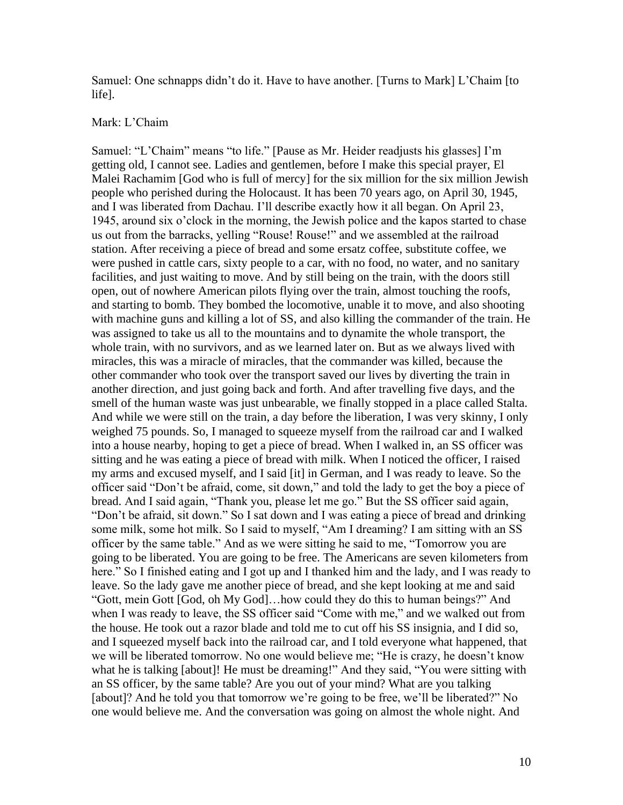Samuel: One schnapps didn't do it. Have to have another. [Turns to Mark] L'Chaim [to life].

#### Mark: L'Chaim

Samuel: "L'Chaim" means "to life." [Pause as Mr. Heider readjusts his glasses] I'm getting old, I cannot see. Ladies and gentlemen, before I make this special prayer, El Malei Rachamim [God who is full of mercy] for the six million for the six million Jewish people who perished during the Holocaust. It has been 70 years ago, on April 30, 1945, and I was liberated from Dachau. I'll describe exactly how it all began. On April 23, 1945, around six o'clock in the morning, the Jewish police and the kapos started to chase us out from the barracks, yelling "Rouse! Rouse!" and we assembled at the railroad station. After receiving a piece of bread and some ersatz coffee, substitute coffee, we were pushed in cattle cars, sixty people to a car, with no food, no water, and no sanitary facilities, and just waiting to move. And by still being on the train, with the doors still open, out of nowhere American pilots flying over the train, almost touching the roofs, and starting to bomb. They bombed the locomotive, unable it to move, and also shooting with machine guns and killing a lot of SS, and also killing the commander of the train. He was assigned to take us all to the mountains and to dynamite the whole transport, the whole train, with no survivors, and as we learned later on. But as we always lived with miracles, this was a miracle of miracles, that the commander was killed, because the other commander who took over the transport saved our lives by diverting the train in another direction, and just going back and forth. And after travelling five days, and the smell of the human waste was just unbearable, we finally stopped in a place called Stalta. And while we were still on the train, a day before the liberation, I was very skinny, I only weighed 75 pounds. So, I managed to squeeze myself from the railroad car and I walked into a house nearby, hoping to get a piece of bread. When I walked in, an SS officer was sitting and he was eating a piece of bread with milk. When I noticed the officer, I raised my arms and excused myself, and I said [it] in German, and I was ready to leave. So the officer said "Don't be afraid, come, sit down," and told the lady to get the boy a piece of bread. And I said again, "Thank you, please let me go." But the SS officer said again, "Don't be afraid, sit down." So I sat down and I was eating a piece of bread and drinking some milk, some hot milk. So I said to myself, "Am I dreaming? I am sitting with an SS officer by the same table." And as we were sitting he said to me, "Tomorrow you are going to be liberated. You are going to be free. The Americans are seven kilometers from here." So I finished eating and I got up and I thanked him and the lady, and I was ready to leave. So the lady gave me another piece of bread, and she kept looking at me and said "Gott, mein Gott [God, oh My God]…how could they do this to human beings?" And when I was ready to leave, the SS officer said "Come with me," and we walked out from the house. He took out a razor blade and told me to cut off his SS insignia, and I did so, and I squeezed myself back into the railroad car, and I told everyone what happened, that we will be liberated tomorrow. No one would believe me; "He is crazy, he doesn't know what he is talking [about]! He must be dreaming!" And they said, "You were sitting with an SS officer, by the same table? Are you out of your mind? What are you talking [about]? And he told you that tomorrow we're going to be free, we'll be liberated?" No one would believe me. And the conversation was going on almost the whole night. And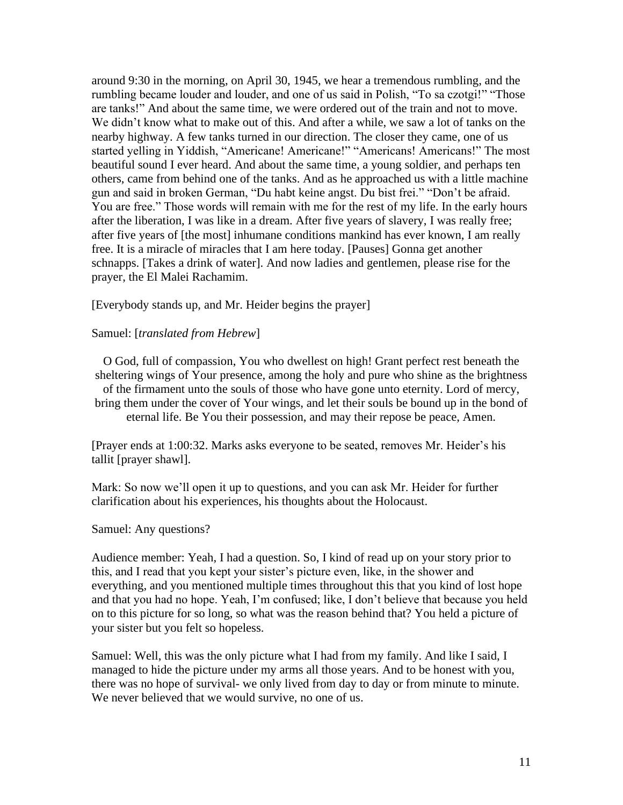around 9:30 in the morning, on April 30, 1945, we hear a tremendous rumbling, and the rumbling became louder and louder, and one of us said in Polish, "To sa czotgi!" "Those are tanks!" And about the same time, we were ordered out of the train and not to move. We didn't know what to make out of this. And after a while, we saw a lot of tanks on the nearby highway. A few tanks turned in our direction. The closer they came, one of us started yelling in Yiddish, "Americane! Americane!" "Americans! Americans!" The most beautiful sound I ever heard. And about the same time, a young soldier, and perhaps ten others, came from behind one of the tanks. And as he approached us with a little machine gun and said in broken German, "Du habt keine angst. Du bist frei." "Don't be afraid. You are free." Those words will remain with me for the rest of my life. In the early hours after the liberation, I was like in a dream. After five years of slavery, I was really free; after five years of [the most] inhumane conditions mankind has ever known, I am really free. It is a miracle of miracles that I am here today. [Pauses] Gonna get another schnapps. [Takes a drink of water]. And now ladies and gentlemen, please rise for the prayer, the El Malei Rachamim.

[Everybody stands up, and Mr. Heider begins the prayer]

### Samuel: [*translated from Hebrew*]

O God, full of compassion, You who dwellest on high! Grant perfect rest beneath the sheltering wings of Your presence, among the holy and pure who shine as the brightness of the firmament unto the souls of those who have gone unto eternity. Lord of mercy, bring them under the cover of Your wings, and let their souls be bound up in the bond of eternal life. Be You their possession, and may their repose be peace, Amen.

[Prayer ends at 1:00:32. Marks asks everyone to be seated, removes Mr. Heider's his tallit [prayer shawl].

Mark: So now we'll open it up to questions, and you can ask Mr. Heider for further clarification about his experiences, his thoughts about the Holocaust.

#### Samuel: Any questions?

Audience member: Yeah, I had a question. So, I kind of read up on your story prior to this, and I read that you kept your sister's picture even, like, in the shower and everything, and you mentioned multiple times throughout this that you kind of lost hope and that you had no hope. Yeah, I'm confused; like, I don't believe that because you held on to this picture for so long, so what was the reason behind that? You held a picture of your sister but you felt so hopeless.

Samuel: Well, this was the only picture what I had from my family. And like I said, I managed to hide the picture under my arms all those years. And to be honest with you, there was no hope of survival- we only lived from day to day or from minute to minute. We never believed that we would survive, no one of us.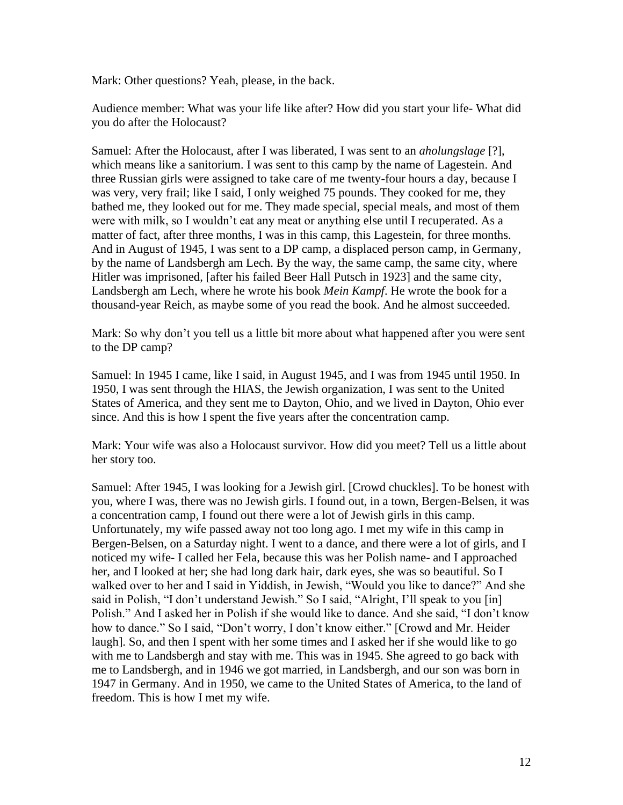Mark: Other questions? Yeah, please, in the back.

Audience member: What was your life like after? How did you start your life- What did you do after the Holocaust?

Samuel: After the Holocaust, after I was liberated, I was sent to an *aholungslage* [?], which means like a sanitorium. I was sent to this camp by the name of Lagestein. And three Russian girls were assigned to take care of me twenty-four hours a day, because I was very, very frail; like I said, I only weighed 75 pounds. They cooked for me, they bathed me, they looked out for me. They made special, special meals, and most of them were with milk, so I wouldn't eat any meat or anything else until I recuperated. As a matter of fact, after three months, I was in this camp, this Lagestein, for three months. And in August of 1945, I was sent to a DP camp, a displaced person camp, in Germany, by the name of Landsbergh am Lech. By the way, the same camp, the same city, where Hitler was imprisoned, [after his failed Beer Hall Putsch in 1923] and the same city, Landsbergh am Lech, where he wrote his book *Mein Kampf*. He wrote the book for a thousand-year Reich, as maybe some of you read the book. And he almost succeeded.

Mark: So why don't you tell us a little bit more about what happened after you were sent to the DP camp?

Samuel: In 1945 I came, like I said, in August 1945, and I was from 1945 until 1950. In 1950, I was sent through the HIAS, the Jewish organization, I was sent to the United States of America, and they sent me to Dayton, Ohio, and we lived in Dayton, Ohio ever since. And this is how I spent the five years after the concentration camp.

Mark: Your wife was also a Holocaust survivor. How did you meet? Tell us a little about her story too.

Samuel: After 1945, I was looking for a Jewish girl. [Crowd chuckles]. To be honest with you, where I was, there was no Jewish girls. I found out, in a town, Bergen-Belsen, it was a concentration camp, I found out there were a lot of Jewish girls in this camp. Unfortunately, my wife passed away not too long ago. I met my wife in this camp in Bergen-Belsen, on a Saturday night. I went to a dance, and there were a lot of girls, and I noticed my wife- I called her Fela, because this was her Polish name- and I approached her, and I looked at her; she had long dark hair, dark eyes, she was so beautiful. So I walked over to her and I said in Yiddish, in Jewish, "Would you like to dance?" And she said in Polish, "I don't understand Jewish." So I said, "Alright, I'll speak to you [in] Polish." And I asked her in Polish if she would like to dance. And she said, "I don't know how to dance." So I said, "Don't worry, I don't know either." [Crowd and Mr. Heider laugh]. So, and then I spent with her some times and I asked her if she would like to go with me to Landsbergh and stay with me. This was in 1945. She agreed to go back with me to Landsbergh, and in 1946 we got married, in Landsbergh, and our son was born in 1947 in Germany. And in 1950, we came to the United States of America, to the land of freedom. This is how I met my wife.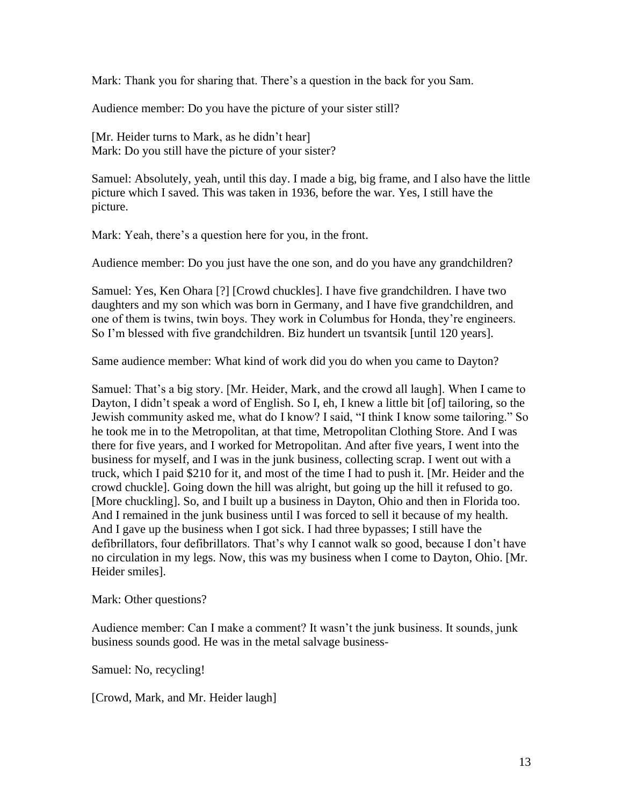Mark: Thank you for sharing that. There's a question in the back for you Sam.

Audience member: Do you have the picture of your sister still?

[Mr. Heider turns to Mark, as he didn't hear] Mark: Do you still have the picture of your sister?

Samuel: Absolutely, yeah, until this day. I made a big, big frame, and I also have the little picture which I saved. This was taken in 1936, before the war. Yes, I still have the picture.

Mark: Yeah, there's a question here for you, in the front.

Audience member: Do you just have the one son, and do you have any grandchildren?

Samuel: Yes, Ken Ohara [?] [Crowd chuckles]. I have five grandchildren. I have two daughters and my son which was born in Germany, and I have five grandchildren, and one of them is twins, twin boys. They work in Columbus for Honda, they're engineers. So I'm blessed with five grandchildren. Biz hundert un tsvantsik [until 120 years].

Same audience member: What kind of work did you do when you came to Dayton?

Samuel: That's a big story. [Mr. Heider, Mark, and the crowd all laugh]. When I came to Dayton, I didn't speak a word of English. So I, eh, I knew a little bit [of] tailoring, so the Jewish community asked me, what do I know? I said, "I think I know some tailoring." So he took me in to the Metropolitan, at that time, Metropolitan Clothing Store. And I was there for five years, and I worked for Metropolitan. And after five years, I went into the business for myself, and I was in the junk business, collecting scrap. I went out with a truck, which I paid \$210 for it, and most of the time I had to push it. [Mr. Heider and the crowd chuckle]. Going down the hill was alright, but going up the hill it refused to go. [More chuckling]. So, and I built up a business in Dayton, Ohio and then in Florida too. And I remained in the junk business until I was forced to sell it because of my health. And I gave up the business when I got sick. I had three bypasses; I still have the defibrillators, four defibrillators. That's why I cannot walk so good, because I don't have no circulation in my legs. Now, this was my business when I come to Dayton, Ohio. [Mr. Heider smiles].

Mark: Other questions?

Audience member: Can I make a comment? It wasn't the junk business. It sounds, junk business sounds good. He was in the metal salvage business-

Samuel: No, recycling!

[Crowd, Mark, and Mr. Heider laugh]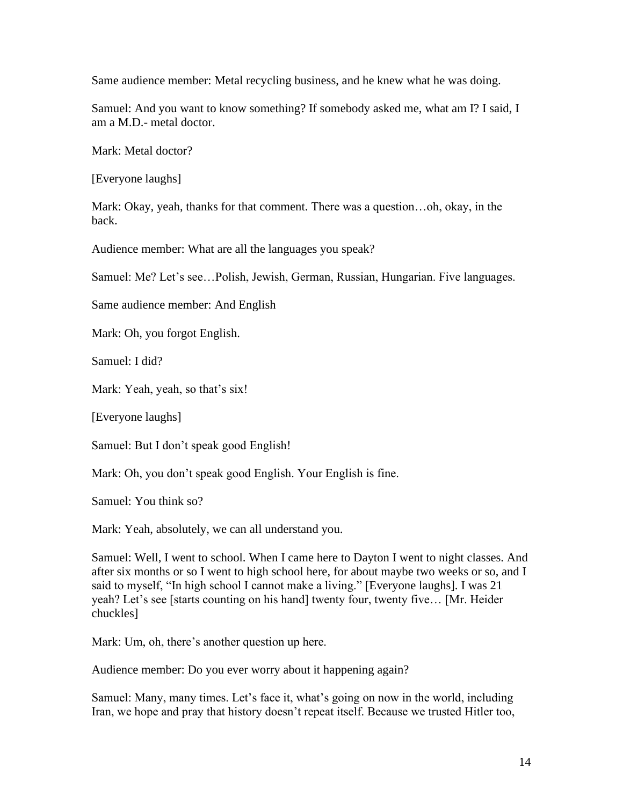Same audience member: Metal recycling business, and he knew what he was doing.

Samuel: And you want to know something? If somebody asked me, what am I? I said, I am a M.D.- metal doctor.

Mark: Metal doctor?

[Everyone laughs]

Mark: Okay, yeah, thanks for that comment. There was a question…oh, okay, in the back.

Audience member: What are all the languages you speak?

Samuel: Me? Let's see…Polish, Jewish, German, Russian, Hungarian. Five languages.

Same audience member: And English

Mark: Oh, you forgot English.

Samuel: I did?

Mark: Yeah, yeah, so that's six!

[Everyone laughs]

Samuel: But I don't speak good English!

Mark: Oh, you don't speak good English. Your English is fine.

Samuel: You think so?

Mark: Yeah, absolutely, we can all understand you.

Samuel: Well, I went to school. When I came here to Dayton I went to night classes. And after six months or so I went to high school here, for about maybe two weeks or so, and I said to myself, "In high school I cannot make a living." [Everyone laughs]. I was 21 yeah? Let's see [starts counting on his hand] twenty four, twenty five… [Mr. Heider chuckles]

Mark: Um, oh, there's another question up here.

Audience member: Do you ever worry about it happening again?

Samuel: Many, many times. Let's face it, what's going on now in the world, including Iran, we hope and pray that history doesn't repeat itself. Because we trusted Hitler too,